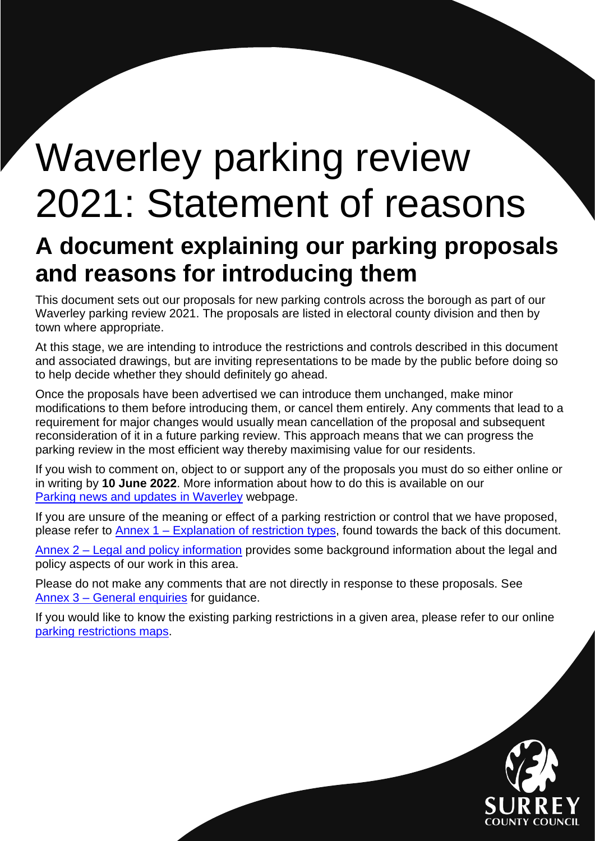# <span id="page-0-0"></span>Waverley parking review 2021: Statement of reasons

# **A document explaining our parking proposals and reasons for introducing them**

This document sets out our proposals for new parking controls across the borough as part of our Waverley parking review 2021. The proposals are listed in electoral county division and then by town where appropriate.

At this stage, we are intending to introduce the restrictions and controls described in this document and associated drawings, but are inviting representations to be made by the public before doing so to help decide whether they should definitely go ahead.

Once the proposals have been advertised we can introduce them unchanged, make minor modifications to them before introducing them, or cancel them entirely. Any comments that lead to a requirement for major changes would usually mean cancellation of the proposal and subsequent reconsideration of it in a future parking review. This approach means that we can progress the parking review in the most efficient way thereby maximising value for our residents.

If you wish to comment on, object to or support any of the proposals you must do so either online or in writing by **10 June 2022**. More information about how to do this is available on our [Parking news and updates in Waverley](https://www.surreycc.gov.uk/roads-and-transport/parking/local-news-and-updates/waverley) webpage.

If you are unsure of the meaning or effect of a parking restriction or control that we have proposed, please refer to Annex 1 – [Explanation of restriction types,](#page-10-0) found towards the back of this document.

Annex 2 – [Legal and policy information](#page-12-0) provides some background information about the legal and policy aspects of our work in this area.

Please do not make any comments that are not directly in response to these proposals. See Annex 3 – [General enquiries](#page-14-0) for guidance.

If you would like to know the existing parking restrictions in a given area, please refer to our online [parking restrictions](https://www.surreycc.gov.uk/roads-and-transport/parking/restrictions-and-controls/interactive-map-of-parking-controls-in-surrey) maps.

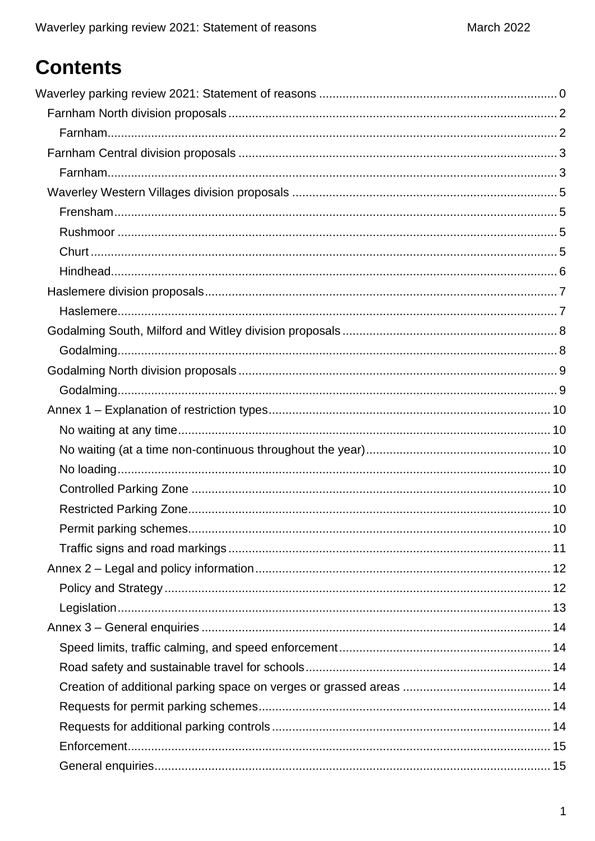# **Contents**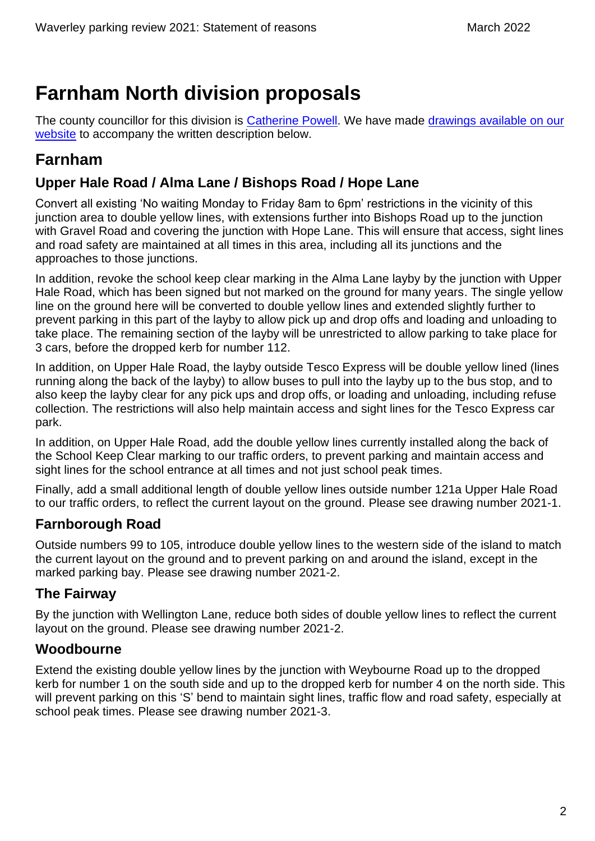## <span id="page-2-0"></span>**Farnham North division proposals**

The county councillor for this division is [Catherine Powell.](https://mycouncil.surreycc.gov.uk/mgUserInfo.aspx?UID=3415) We have made drawings available on our [website](https://www.surreycc.gov.uk/roads-and-transport/parking/local-news-and-updates/waverley/waverley-parking-review-2021) to accompany the written description below.

### <span id="page-2-1"></span>**Farnham**

#### **Upper Hale Road / Alma Lane / Bishops Road / Hope Lane**

Convert all existing 'No waiting Monday to Friday 8am to 6pm' restrictions in the vicinity of this junction area to double yellow lines, with extensions further into Bishops Road up to the junction with Gravel Road and covering the junction with Hope Lane. This will ensure that access, sight lines and road safety are maintained at all times in this area, including all its junctions and the approaches to those junctions.

In addition, revoke the school keep clear marking in the Alma Lane layby by the junction with Upper Hale Road, which has been signed but not marked on the ground for many years. The single yellow line on the ground here will be converted to double yellow lines and extended slightly further to prevent parking in this part of the layby to allow pick up and drop offs and loading and unloading to take place. The remaining section of the layby will be unrestricted to allow parking to take place for 3 cars, before the dropped kerb for number 112.

In addition, on Upper Hale Road, the layby outside Tesco Express will be double yellow lined (lines running along the back of the layby) to allow buses to pull into the layby up to the bus stop, and to also keep the layby clear for any pick ups and drop offs, or loading and unloading, including refuse collection. The restrictions will also help maintain access and sight lines for the Tesco Express car park.

In addition, on Upper Hale Road, add the double yellow lines currently installed along the back of the School Keep Clear marking to our traffic orders, to prevent parking and maintain access and sight lines for the school entrance at all times and not just school peak times.

Finally, add a small additional length of double yellow lines outside number 121a Upper Hale Road to our traffic orders, to reflect the current layout on the ground. Please see drawing number 2021-1.

### **Farnborough Road**

Outside numbers 99 to 105, introduce double yellow lines to the western side of the island to match the current layout on the ground and to prevent parking on and around the island, except in the marked parking bay. Please see drawing number 2021-2.

#### **The Fairway**

By the junction with Wellington Lane, reduce both sides of double yellow lines to reflect the current layout on the ground. Please see drawing number 2021-2.

#### **Woodbourne**

Extend the existing double yellow lines by the junction with Weybourne Road up to the dropped kerb for number 1 on the south side and up to the dropped kerb for number 4 on the north side. This will prevent parking on this 'S' bend to maintain sight lines, traffic flow and road safety, especially at school peak times. Please see drawing number 2021-3.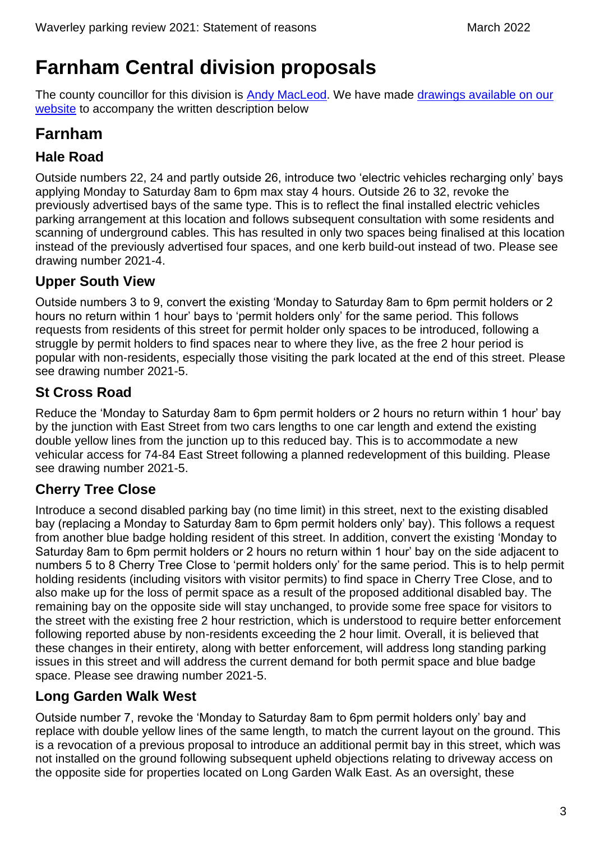# <span id="page-3-0"></span>**Farnham Central division proposals**

The county councillor for this division is [Andy MacLeod.](https://mycouncil.surreycc.gov.uk/mgUserInfo.aspx?UID=2251) We have made [drawings available on our](https://www.surreycc.gov.uk/roads-and-transport/parking/local-news-and-updates/waverley/waverley-parking-review-2021)  [website](https://www.surreycc.gov.uk/roads-and-transport/parking/local-news-and-updates/waverley/waverley-parking-review-2021) to accompany the written description below

### <span id="page-3-1"></span>**Farnham**

#### **Hale Road**

Outside numbers 22, 24 and partly outside 26, introduce two 'electric vehicles recharging only' bays applying Monday to Saturday 8am to 6pm max stay 4 hours. Outside 26 to 32, revoke the previously advertised bays of the same type. This is to reflect the final installed electric vehicles parking arrangement at this location and follows subsequent consultation with some residents and scanning of underground cables. This has resulted in only two spaces being finalised at this location instead of the previously advertised four spaces, and one kerb build-out instead of two. Please see drawing number 2021-4.

#### **Upper South View**

Outside numbers 3 to 9, convert the existing 'Monday to Saturday 8am to 6pm permit holders or 2 hours no return within 1 hour' bays to 'permit holders only' for the same period. This follows requests from residents of this street for permit holder only spaces to be introduced, following a struggle by permit holders to find spaces near to where they live, as the free 2 hour period is popular with non-residents, especially those visiting the park located at the end of this street. Please see drawing number 2021-5.

### **St Cross Road**

Reduce the 'Monday to Saturday 8am to 6pm permit holders or 2 hours no return within 1 hour' bay by the junction with East Street from two cars lengths to one car length and extend the existing double yellow lines from the junction up to this reduced bay. This is to accommodate a new vehicular access for 74-84 East Street following a planned redevelopment of this building. Please see drawing number 2021-5.

### **Cherry Tree Close**

Introduce a second disabled parking bay (no time limit) in this street, next to the existing disabled bay (replacing a Monday to Saturday 8am to 6pm permit holders only' bay). This follows a request from another blue badge holding resident of this street. In addition, convert the existing 'Monday to Saturday 8am to 6pm permit holders or 2 hours no return within 1 hour' bay on the side adjacent to numbers 5 to 8 Cherry Tree Close to 'permit holders only' for the same period. This is to help permit holding residents (including visitors with visitor permits) to find space in Cherry Tree Close, and to also make up for the loss of permit space as a result of the proposed additional disabled bay. The remaining bay on the opposite side will stay unchanged, to provide some free space for visitors to the street with the existing free 2 hour restriction, which is understood to require better enforcement following reported abuse by non-residents exceeding the 2 hour limit. Overall, it is believed that these changes in their entirety, along with better enforcement, will address long standing parking issues in this street and will address the current demand for both permit space and blue badge space. Please see drawing number 2021-5.

#### **Long Garden Walk West**

Outside number 7, revoke the 'Monday to Saturday 8am to 6pm permit holders only' bay and replace with double yellow lines of the same length, to match the current layout on the ground. This is a revocation of a previous proposal to introduce an additional permit bay in this street, which was not installed on the ground following subsequent upheld objections relating to driveway access on the opposite side for properties located on Long Garden Walk East. As an oversight, these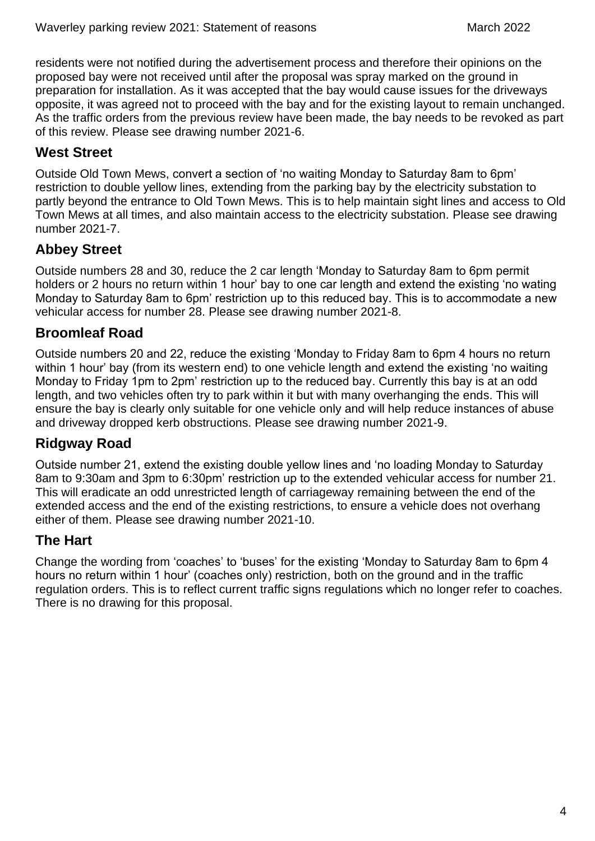residents were not notified during the advertisement process and therefore their opinions on the proposed bay were not received until after the proposal was spray marked on the ground in preparation for installation. As it was accepted that the bay would cause issues for the driveways opposite, it was agreed not to proceed with the bay and for the existing layout to remain unchanged. As the traffic orders from the previous review have been made, the bay needs to be revoked as part of this review. Please see drawing number 2021-6.

#### **West Street**

Outside Old Town Mews, convert a section of 'no waiting Monday to Saturday 8am to 6pm' restriction to double yellow lines, extending from the parking bay by the electricity substation to partly beyond the entrance to Old Town Mews. This is to help maintain sight lines and access to Old Town Mews at all times, and also maintain access to the electricity substation. Please see drawing number 2021-7.

#### **Abbey Street**

Outside numbers 28 and 30, reduce the 2 car length 'Monday to Saturday 8am to 6pm permit holders or 2 hours no return within 1 hour' bay to one car length and extend the existing 'no wating Monday to Saturday 8am to 6pm' restriction up to this reduced bay. This is to accommodate a new vehicular access for number 28. Please see drawing number 2021-8.

#### **Broomleaf Road**

Outside numbers 20 and 22, reduce the existing 'Monday to Friday 8am to 6pm 4 hours no return within 1 hour' bay (from its western end) to one vehicle length and extend the existing 'no waiting Monday to Friday 1pm to 2pm' restriction up to the reduced bay. Currently this bay is at an odd length, and two vehicles often try to park within it but with many overhanging the ends. This will ensure the bay is clearly only suitable for one vehicle only and will help reduce instances of abuse and driveway dropped kerb obstructions. Please see drawing number 2021-9.

#### **Ridgway Road**

Outside number 21, extend the existing double yellow lines and 'no loading Monday to Saturday 8am to 9:30am and 3pm to 6:30pm' restriction up to the extended vehicular access for number 21. This will eradicate an odd unrestricted length of carriageway remaining between the end of the extended access and the end of the existing restrictions, to ensure a vehicle does not overhang either of them. Please see drawing number 2021-10.

#### **The Hart**

Change the wording from 'coaches' to 'buses' for the existing 'Monday to Saturday 8am to 6pm 4 hours no return within 1 hour' (coaches only) restriction, both on the ground and in the traffic regulation orders. This is to reflect current traffic signs regulations which no longer refer to coaches. There is no drawing for this proposal.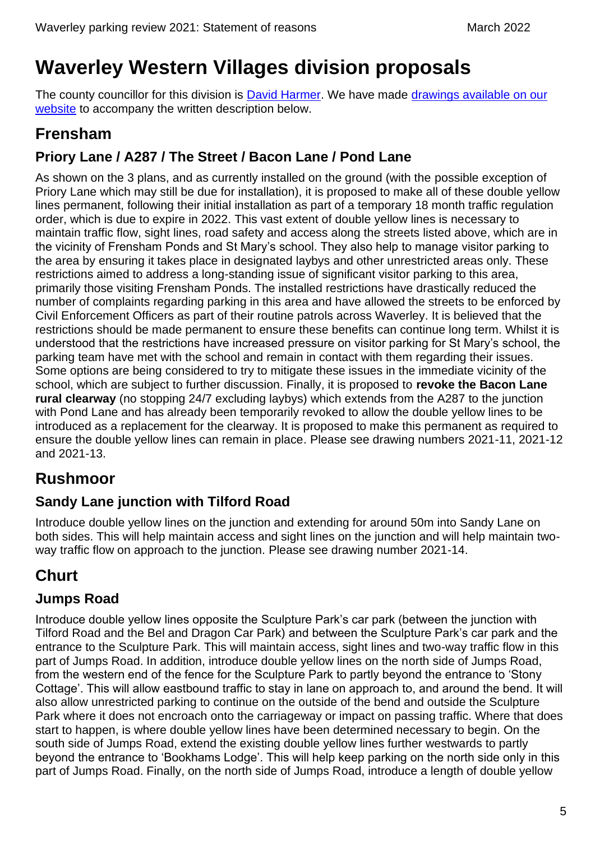# <span id="page-5-0"></span>**Waverley Western Villages division proposals**

The county councillor for this division is [David Harmer.](https://mycouncil.surreycc.gov.uk/mgUserInfo.aspx?UID=152) We have made drawings available on our [website](https://www.surreycc.gov.uk/roads-and-transport/parking/local-news-and-updates/waverley/waverley-parking-review-2021) to accompany the written description below.

### <span id="page-5-1"></span>**Frensham**

### **Priory Lane / A287 / The Street / Bacon Lane / Pond Lane**

As shown on the 3 plans, and as currently installed on the ground (with the possible exception of Priory Lane which may still be due for installation), it is proposed to make all of these double yellow lines permanent, following their initial installation as part of a temporary 18 month traffic regulation order, which is due to expire in 2022. This vast extent of double yellow lines is necessary to maintain traffic flow, sight lines, road safety and access along the streets listed above, which are in the vicinity of Frensham Ponds and St Mary's school. They also help to manage visitor parking to the area by ensuring it takes place in designated laybys and other unrestricted areas only. These restrictions aimed to address a long-standing issue of significant visitor parking to this area, primarily those visiting Frensham Ponds. The installed restrictions have drastically reduced the number of complaints regarding parking in this area and have allowed the streets to be enforced by Civil Enforcement Officers as part of their routine patrols across Waverley. It is believed that the restrictions should be made permanent to ensure these benefits can continue long term. Whilst it is understood that the restrictions have increased pressure on visitor parking for St Mary's school, the parking team have met with the school and remain in contact with them regarding their issues. Some options are being considered to try to mitigate these issues in the immediate vicinity of the school, which are subject to further discussion. Finally, it is proposed to **revoke the Bacon Lane rural clearway** (no stopping 24/7 excluding laybys) which extends from the A287 to the junction with Pond Lane and has already been temporarily revoked to allow the double yellow lines to be introduced as a replacement for the clearway. It is proposed to make this permanent as required to ensure the double yellow lines can remain in place. Please see drawing numbers 2021-11, 2021-12 and 2021-13.

### <span id="page-5-2"></span>**Rushmoor**

### **Sandy Lane junction with Tilford Road**

Introduce double yellow lines on the junction and extending for around 50m into Sandy Lane on both sides. This will help maintain access and sight lines on the junction and will help maintain twoway traffic flow on approach to the junction. Please see drawing number 2021-14.

### <span id="page-5-3"></span>**Churt**

### **Jumps Road**

Introduce double yellow lines opposite the Sculpture Park's car park (between the junction with Tilford Road and the Bel and Dragon Car Park) and between the Sculpture Park's car park and the entrance to the Sculpture Park. This will maintain access, sight lines and two-way traffic flow in this part of Jumps Road. In addition, introduce double yellow lines on the north side of Jumps Road, from the western end of the fence for the Sculpture Park to partly beyond the entrance to 'Stony Cottage'. This will allow eastbound traffic to stay in lane on approach to, and around the bend. It will also allow unrestricted parking to continue on the outside of the bend and outside the Sculpture Park where it does not encroach onto the carriageway or impact on passing traffic. Where that does start to happen, is where double yellow lines have been determined necessary to begin. On the south side of Jumps Road, extend the existing double yellow lines further westwards to partly beyond the entrance to 'Bookhams Lodge'. This will help keep parking on the north side only in this part of Jumps Road. Finally, on the north side of Jumps Road, introduce a length of double yellow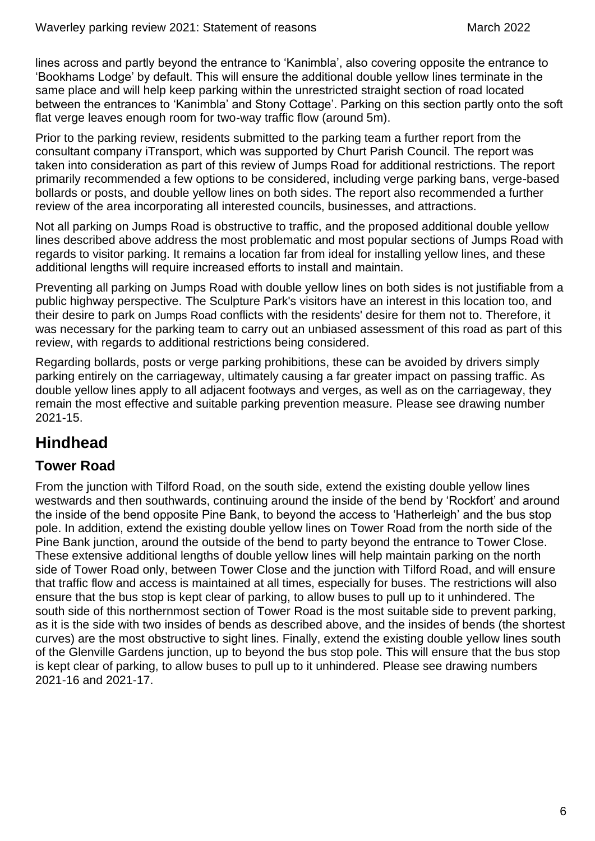lines across and partly beyond the entrance to 'Kanimbla', also covering opposite the entrance to 'Bookhams Lodge' by default. This will ensure the additional double yellow lines terminate in the same place and will help keep parking within the unrestricted straight section of road located between the entrances to 'Kanimbla' and Stony Cottage'. Parking on this section partly onto the soft flat verge leaves enough room for two-way traffic flow (around 5m).

Prior to the parking review, residents submitted to the parking team a further report from the consultant company iTransport, which was supported by Churt Parish Council. The report was taken into consideration as part of this review of Jumps Road for additional restrictions. The report primarily recommended a few options to be considered, including verge parking bans, verge-based bollards or posts, and double yellow lines on both sides. The report also recommended a further review of the area incorporating all interested councils, businesses, and attractions.

Not all parking on Jumps Road is obstructive to traffic, and the proposed additional double yellow lines described above address the most problematic and most popular sections of Jumps Road with regards to visitor parking. It remains a location far from ideal for installing yellow lines, and these additional lengths will require increased efforts to install and maintain.

Preventing all parking on Jumps Road with double yellow lines on both sides is not justifiable from a public highway perspective. The Sculpture Park's visitors have an interest in this location too, and their desire to park on Jumps Road conflicts with the residents' desire for them not to. Therefore, it was necessary for the parking team to carry out an unbiased assessment of this road as part of this review, with regards to additional restrictions being considered.

Regarding bollards, posts or verge parking prohibitions, these can be avoided by drivers simply parking entirely on the carriageway, ultimately causing a far greater impact on passing traffic. As double yellow lines apply to all adjacent footways and verges, as well as on the carriageway, they remain the most effective and suitable parking prevention measure. Please see drawing number 2021-15.

### <span id="page-6-0"></span>**Hindhead**

#### **Tower Road**

From the junction with Tilford Road, on the south side, extend the existing double yellow lines westwards and then southwards, continuing around the inside of the bend by 'Rockfort' and around the inside of the bend opposite Pine Bank, to beyond the access to 'Hatherleigh' and the bus stop pole. In addition, extend the existing double yellow lines on Tower Road from the north side of the Pine Bank junction, around the outside of the bend to party beyond the entrance to Tower Close. These extensive additional lengths of double yellow lines will help maintain parking on the north side of Tower Road only, between Tower Close and the junction with Tilford Road, and will ensure that traffic flow and access is maintained at all times, especially for buses. The restrictions will also ensure that the bus stop is kept clear of parking, to allow buses to pull up to it unhindered. The south side of this northernmost section of Tower Road is the most suitable side to prevent parking, as it is the side with two insides of bends as described above, and the insides of bends (the shortest curves) are the most obstructive to sight lines. Finally, extend the existing double yellow lines south of the Glenville Gardens junction, up to beyond the bus stop pole. This will ensure that the bus stop is kept clear of parking, to allow buses to pull up to it unhindered. Please see drawing numbers 2021-16 and 2021-17.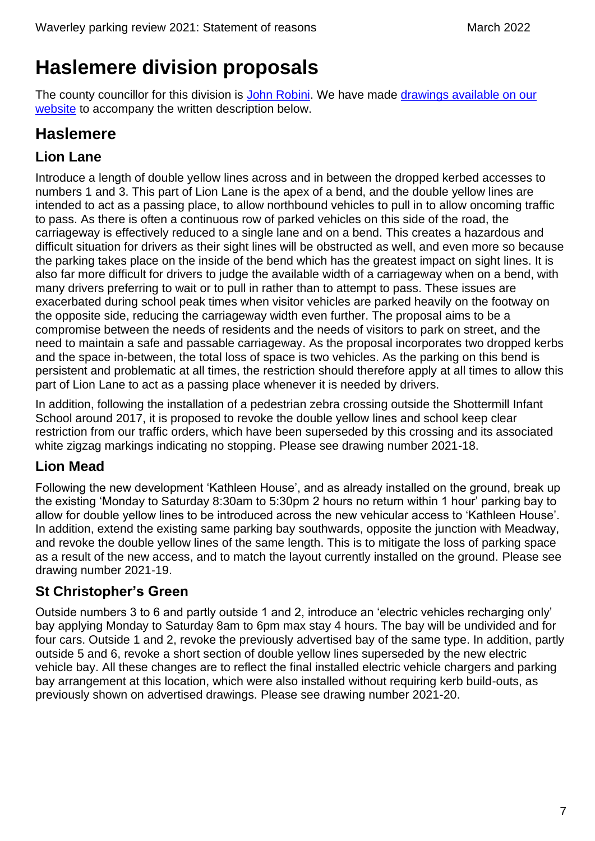# <span id="page-7-0"></span>**Haslemere division proposals**

The county councillor for this division is [John Robini.](https://mycouncil.surreycc.gov.uk/mgUserInfo.aspx?UID=2913) We have made drawings available on our [website](https://www.surreycc.gov.uk/roads-and-transport/parking/local-news-and-updates/waverley/waverley-parking-review-2021) to accompany the written description below.

### <span id="page-7-1"></span>**Haslemere**

### **Lion Lane**

Introduce a length of double yellow lines across and in between the dropped kerbed accesses to numbers 1 and 3. This part of Lion Lane is the apex of a bend, and the double yellow lines are intended to act as a passing place, to allow northbound vehicles to pull in to allow oncoming traffic to pass. As there is often a continuous row of parked vehicles on this side of the road, the carriageway is effectively reduced to a single lane and on a bend. This creates a hazardous and difficult situation for drivers as their sight lines will be obstructed as well, and even more so because the parking takes place on the inside of the bend which has the greatest impact on sight lines. It is also far more difficult for drivers to judge the available width of a carriageway when on a bend, with many drivers preferring to wait or to pull in rather than to attempt to pass. These issues are exacerbated during school peak times when visitor vehicles are parked heavily on the footway on the opposite side, reducing the carriageway width even further. The proposal aims to be a compromise between the needs of residents and the needs of visitors to park on street, and the need to maintain a safe and passable carriageway. As the proposal incorporates two dropped kerbs and the space in-between, the total loss of space is two vehicles. As the parking on this bend is persistent and problematic at all times, the restriction should therefore apply at all times to allow this part of Lion Lane to act as a passing place whenever it is needed by drivers.

In addition, following the installation of a pedestrian zebra crossing outside the Shottermill Infant School around 2017, it is proposed to revoke the double yellow lines and school keep clear restriction from our traffic orders, which have been superseded by this crossing and its associated white zigzag markings indicating no stopping. Please see drawing number 2021-18.

### **Lion Mead**

Following the new development 'Kathleen House', and as already installed on the ground, break up the existing 'Monday to Saturday 8:30am to 5:30pm 2 hours no return within 1 hour' parking bay to allow for double yellow lines to be introduced across the new vehicular access to 'Kathleen House'. In addition, extend the existing same parking bay southwards, opposite the junction with Meadway, and revoke the double yellow lines of the same length. This is to mitigate the loss of parking space as a result of the new access, and to match the layout currently installed on the ground. Please see drawing number 2021-19.

### **St Christopher's Green**

Outside numbers 3 to 6 and partly outside 1 and 2, introduce an 'electric vehicles recharging only' bay applying Monday to Saturday 8am to 6pm max stay 4 hours. The bay will be undivided and for four cars. Outside 1 and 2, revoke the previously advertised bay of the same type. In addition, partly outside 5 and 6, revoke a short section of double yellow lines superseded by the new electric vehicle bay. All these changes are to reflect the final installed electric vehicle chargers and parking bay arrangement at this location, which were also installed without requiring kerb build-outs, as previously shown on advertised drawings. Please see drawing number 2021-20.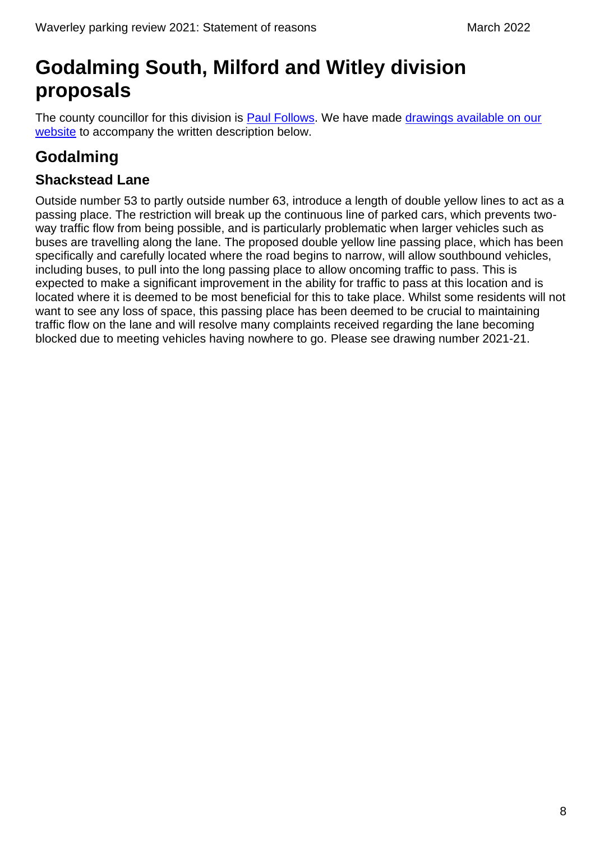# <span id="page-8-0"></span>**Godalming South, Milford and Witley division proposals**

The county councillor for this division is [Paul Follows.](https://mycouncil.surreycc.gov.uk/mgUserInfo.aspx?UID=3114) We have made drawings available on our [website](https://www.surreycc.gov.uk/roads-and-transport/parking/local-news-and-updates/waverley/waverley-parking-review-2021) to accompany the written description below.

### <span id="page-8-1"></span>**Godalming**

#### **Shackstead Lane**

Outside number 53 to partly outside number 63, introduce a length of double yellow lines to act as a passing place. The restriction will break up the continuous line of parked cars, which prevents twoway traffic flow from being possible, and is particularly problematic when larger vehicles such as buses are travelling along the lane. The proposed double yellow line passing place, which has been specifically and carefully located where the road begins to narrow, will allow southbound vehicles, including buses, to pull into the long passing place to allow oncoming traffic to pass. This is expected to make a significant improvement in the ability for traffic to pass at this location and is located where it is deemed to be most beneficial for this to take place. Whilst some residents will not want to see any loss of space, this passing place has been deemed to be crucial to maintaining traffic flow on the lane and will resolve many complaints received regarding the lane becoming blocked due to meeting vehicles having nowhere to go. Please see drawing number 2021-21.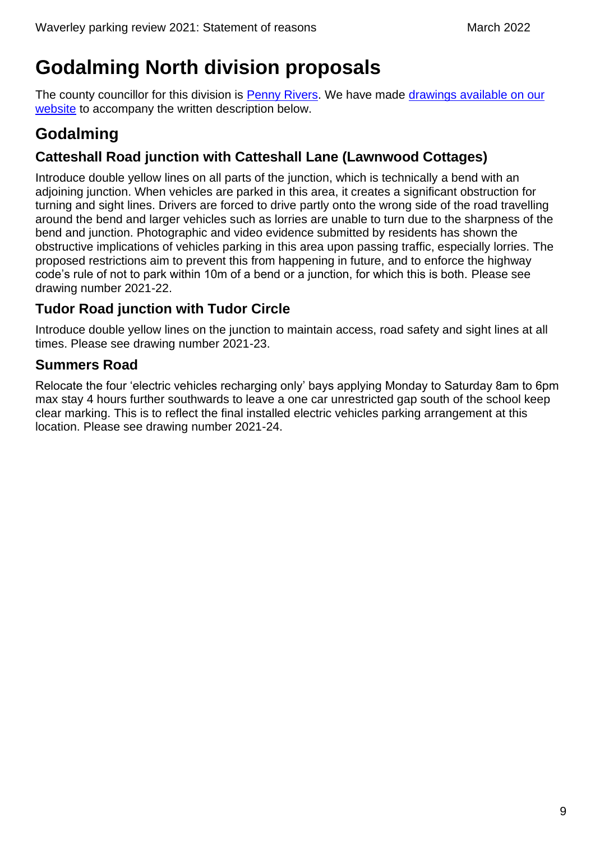# <span id="page-9-0"></span>**Godalming North division proposals**

The county councillor for this division is [Penny Rivers.](https://mycouncil.surreycc.gov.uk/mgUserInfo.aspx?UID=2270) We have made [drawings available on our](https://www.surreycc.gov.uk/roads-and-transport/parking/local-news-and-updates/waverley/waverley-parking-review-2021)  [website](https://www.surreycc.gov.uk/roads-and-transport/parking/local-news-and-updates/waverley/waverley-parking-review-2021) to accompany the written description below.

### <span id="page-9-1"></span>**Godalming**

### **Catteshall Road junction with Catteshall Lane (Lawnwood Cottages)**

Introduce double yellow lines on all parts of the junction, which is technically a bend with an adjoining junction. When vehicles are parked in this area, it creates a significant obstruction for turning and sight lines. Drivers are forced to drive partly onto the wrong side of the road travelling around the bend and larger vehicles such as lorries are unable to turn due to the sharpness of the bend and junction. Photographic and video evidence submitted by residents has shown the obstructive implications of vehicles parking in this area upon passing traffic, especially lorries. The proposed restrictions aim to prevent this from happening in future, and to enforce the highway code's rule of not to park within 10m of a bend or a junction, for which this is both. Please see drawing number 2021-22.

### **Tudor Road junction with Tudor Circle**

Introduce double yellow lines on the junction to maintain access, road safety and sight lines at all times. Please see drawing number 2021-23.

### **Summers Road**

Relocate the four 'electric vehicles recharging only' bays applying Monday to Saturday 8am to 6pm max stay 4 hours further southwards to leave a one car unrestricted gap south of the school keep clear marking. This is to reflect the final installed electric vehicles parking arrangement at this location. Please see drawing number 2021-24.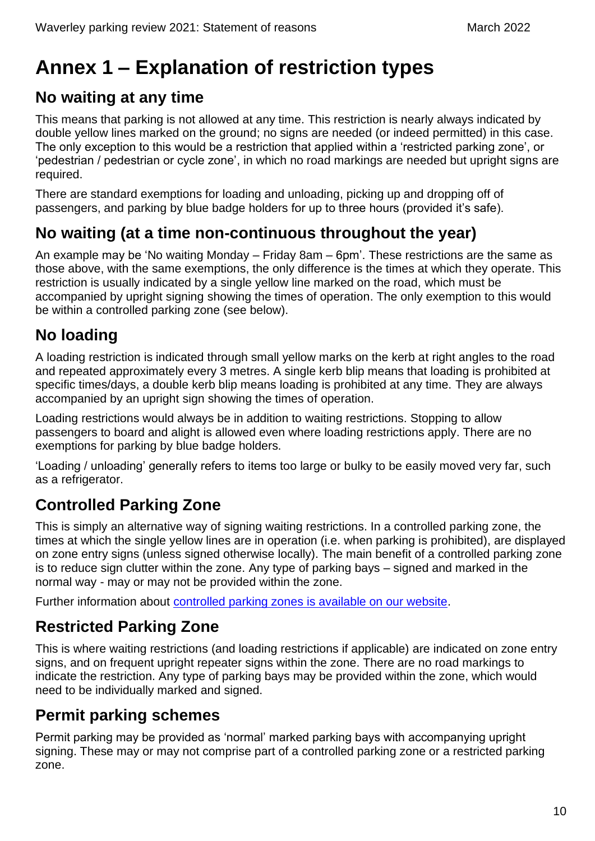# <span id="page-10-0"></span>**Annex 1 – Explanation of restriction types**

### <span id="page-10-1"></span>**No waiting at any time**

This means that parking is not allowed at any time. This restriction is nearly always indicated by double yellow lines marked on the ground; no signs are needed (or indeed permitted) in this case. The only exception to this would be a restriction that applied within a 'restricted parking zone', or 'pedestrian / pedestrian or cycle zone', in which no road markings are needed but upright signs are required.

There are standard exemptions for loading and unloading, picking up and dropping off of passengers, and parking by blue badge holders for up to three hours (provided it's safe).

### <span id="page-10-2"></span>**No waiting (at a time non-continuous throughout the year)**

An example may be 'No waiting Monday – Friday 8am – 6pm'. These restrictions are the same as those above, with the same exemptions, the only difference is the times at which they operate. This restriction is usually indicated by a single yellow line marked on the road, which must be accompanied by upright signing showing the times of operation. The only exemption to this would be within a controlled parking zone (see below).

### <span id="page-10-3"></span>**No loading**

A loading restriction is indicated through small yellow marks on the kerb at right angles to the road and repeated approximately every 3 metres. A single kerb blip means that loading is prohibited at specific times/days, a double kerb blip means loading is prohibited at any time. They are always accompanied by an upright sign showing the times of operation.

Loading restrictions would always be in addition to waiting restrictions. Stopping to allow passengers to board and alight is allowed even where loading restrictions apply. There are no exemptions for parking by blue badge holders.

'Loading / unloading' generally refers to items too large or bulky to be easily moved very far, such as a refrigerator.

### <span id="page-10-4"></span>**Controlled Parking Zone**

This is simply an alternative way of signing waiting restrictions. In a controlled parking zone, the times at which the single yellow lines are in operation (i.e. when parking is prohibited), are displayed on zone entry signs (unless signed otherwise locally). The main benefit of a controlled parking zone is to reduce sign clutter within the zone. Any type of parking bays – signed and marked in the normal way - may or may not be provided within the zone.

Further information about [controlled parking zones is available on our website.](https://www.surreycc.gov.uk/roads-and-transport/parking/restrictions-and-controls/controlled-parking-zones)

### <span id="page-10-5"></span>**Restricted Parking Zone**

This is where waiting restrictions (and loading restrictions if applicable) are indicated on zone entry signs, and on frequent upright repeater signs within the zone. There are no road markings to indicate the restriction. Any type of parking bays may be provided within the zone, which would need to be individually marked and signed.

### <span id="page-10-6"></span>**Permit parking schemes**

Permit parking may be provided as 'normal' marked parking bays with accompanying upright signing. These may or may not comprise part of a controlled parking zone or a restricted parking zone.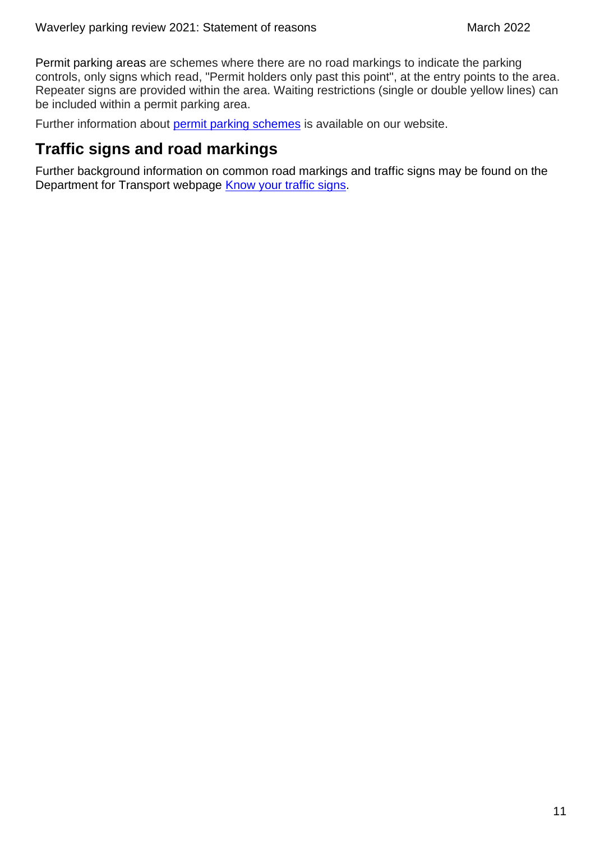Permit parking areas are schemes where there are no road markings to indicate the parking controls, only signs which read, "Permit holders only past this point", at the entry points to the area. Repeater signs are provided within the area. Waiting restrictions (single or double yellow lines) can be included within a permit parking area.

Further information about [permit parking schemes](https://www.surreycc.gov.uk/roads-and-transport/parking/restrictions-and-controls/permit-parking-schemes) is available on our website.

### <span id="page-11-0"></span>**Traffic signs and road markings**

Further background information on common road markings and traffic signs may be found on the Department for Transport webpage [Know your traffic signs.](https://www.gov.uk/government/publications/know-your-traffic-signs)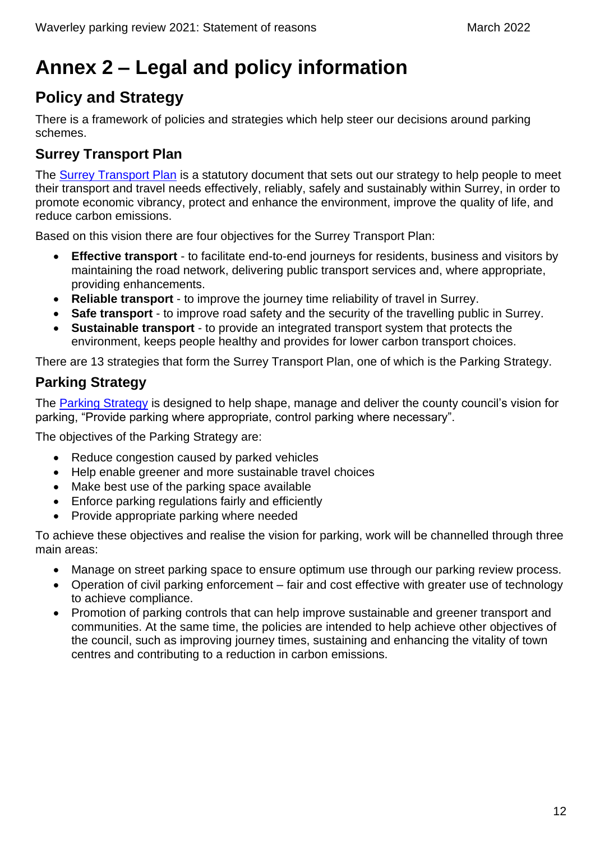# <span id="page-12-0"></span>**Annex 2 – Legal and policy information**

### <span id="page-12-1"></span>**Policy and Strategy**

There is a framework of policies and strategies which help steer our decisions around parking schemes.

#### **Surrey Transport Plan**

The [Surrey Transport Plan](https://www.surreycc.gov.uk/roads-and-transport/policies-plans-consultations/transport-plan) is a statutory document that sets out our strategy to help people to meet their transport and travel needs effectively, reliably, safely and sustainably within Surrey, in order to promote economic vibrancy, protect and enhance the environment, improve the quality of life, and reduce carbon emissions.

Based on this vision there are four objectives for the Surrey Transport Plan:

- **Effective transport** to facilitate end-to-end journeys for residents, business and visitors by maintaining the road network, delivering public transport services and, where appropriate, providing enhancements.
- **Reliable transport** to improve the journey time reliability of travel in Surrey.
- **Safe transport** to improve road safety and the security of the travelling public in Surrey.
- **Sustainable transport** to provide an integrated transport system that protects the environment, keeps people healthy and provides for lower carbon transport choices.

There are 13 strategies that form the Surrey Transport Plan, one of which is the Parking Strategy.

#### **Parking Strategy**

The [Parking Strategy](https://www.surreycc.gov.uk/roads-and-transport/policies-plans-consultations/transport-plan/surrey-transport-plan-strategies/parking-strategy) is designed to help shape, manage and deliver the county council's vision for parking, "Provide parking where appropriate, control parking where necessary".

The objectives of the Parking Strategy are:

- Reduce congestion caused by parked vehicles
- Help enable greener and more sustainable travel choices
- Make best use of the parking space available
- Enforce parking regulations fairly and efficiently
- Provide appropriate parking where needed

To achieve these objectives and realise the vision for parking, work will be channelled through three main areas:

- Manage on street parking space to ensure optimum use through our parking review process.
- Operation of civil parking enforcement fair and cost effective with greater use of technology to achieve compliance.
- Promotion of parking controls that can help improve sustainable and greener transport and communities. At the same time, the policies are intended to help achieve other objectives of the council, such as improving journey times, sustaining and enhancing the vitality of town centres and contributing to a reduction in carbon emissions.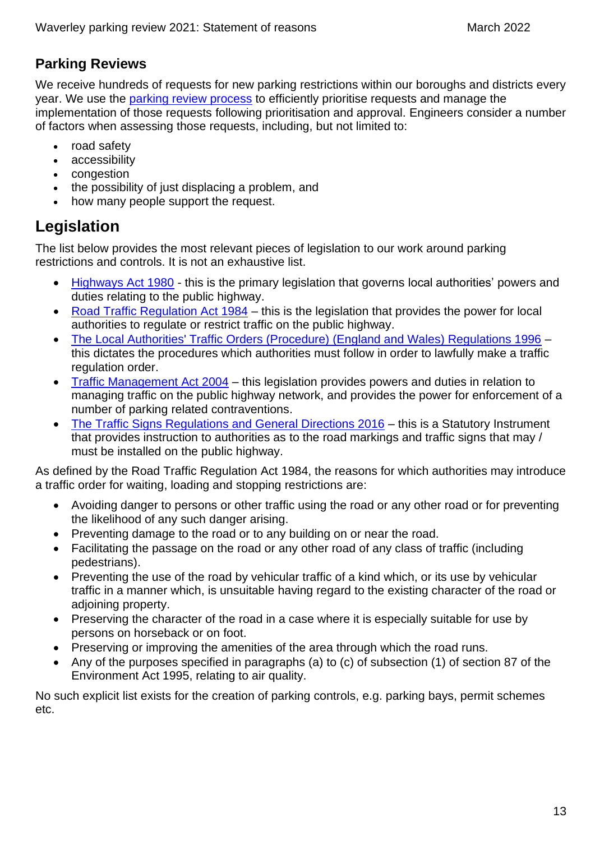#### **Parking Reviews**

We receive hundreds of requests for new parking restrictions within our boroughs and districts every year. We use the [parking review process](https://www.surreycc.gov.uk/roads-and-transport/parking/reviews) to efficiently prioritise requests and manage the implementation of those requests following prioritisation and approval. Engineers consider a number of factors when assessing those requests, including, but not limited to:

- road safety
- accessibility
- congestion
- the possibility of just displacing a problem, and
- how many people support the request.

### <span id="page-13-0"></span>**Legislation**

The list below provides the most relevant pieces of legislation to our work around parking restrictions and controls. It is not an exhaustive list.

- [Highways Act 1980](https://www.legislation.gov.uk/ukpga/1980/66/contents) this is the primary legislation that governs local authorities' powers and duties relating to the public highway.
- [Road Traffic Regulation Act 1984](https://www.legislation.gov.uk/ukpga/1984/27/contents) this is the legislation that provides the power for local authorities to regulate or restrict traffic on the public highway.
- [The Local Authorities' Traffic Orders \(Procedure\) \(England and Wales\) Regulations 1996](https://www.legislation.gov.uk/uksi/1996/2489/contents/made) this dictates the procedures which authorities must follow in order to lawfully make a traffic regulation order.
- [Traffic Management Act 2004](https://www.legislation.gov.uk/ukpga/2004/18/contents) this legislation provides powers and duties in relation to managing traffic on the public highway network, and provides the power for enforcement of a number of parking related contraventions.
- [The Traffic Signs Regulations and General Directions 2016](https://www.legislation.gov.uk/uksi/2016/362/contents/made) this is a Statutory Instrument that provides instruction to authorities as to the road markings and traffic signs that may / must be installed on the public highway.

As defined by the Road Traffic Regulation Act 1984, the reasons for which authorities may introduce a traffic order for waiting, loading and stopping restrictions are:

- Avoiding danger to persons or other traffic using the road or any other road or for preventing the likelihood of any such danger arising.
- Preventing damage to the road or to any building on or near the road.
- Facilitating the passage on the road or any other road of any class of traffic (including pedestrians).
- Preventing the use of the road by vehicular traffic of a kind which, or its use by vehicular traffic in a manner which, is unsuitable having regard to the existing character of the road or adjoining property.
- Preserving the character of the road in a case where it is especially suitable for use by persons on horseback or on foot.
- Preserving or improving the amenities of the area through which the road runs.
- Any of the purposes specified in paragraphs (a) to (c) of subsection (1) of section 87 of the Environment Act 1995, relating to air quality.

No such explicit list exists for the creation of parking controls, e.g. parking bays, permit schemes etc.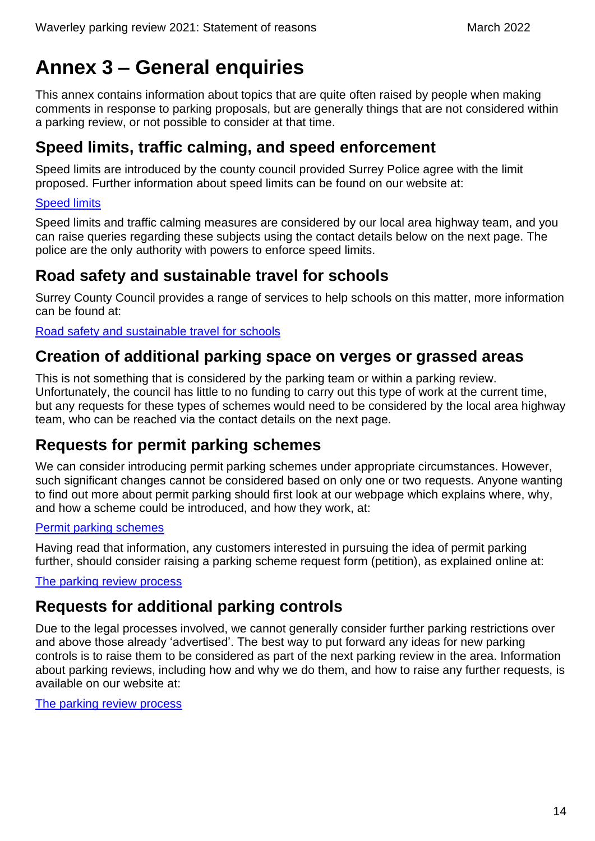# <span id="page-14-0"></span>**Annex 3 – General enquiries**

This annex contains information about topics that are quite often raised by people when making comments in response to parking proposals, but are generally things that are not considered within a parking review, or not possible to consider at that time.

### <span id="page-14-1"></span>**Speed limits, traffic calming, and speed enforcement**

Speed limits are introduced by the county council provided Surrey Police agree with the limit proposed. Further information about speed limits can be found on our website at:

#### [Speed limits](https://www.surreycc.gov.uk/roads-and-transport/road-safety/speed-limits)

Speed limits and traffic calming measures are considered by our local area highway team, and you can raise queries regarding these subjects using the contact details below on the next page. The police are the only authority with powers to enforce speed limits.

### <span id="page-14-2"></span>**Road safety and sustainable travel for schools**

Surrey County Council provides a range of services to help schools on this matter, more information can be found at:

[Road safety and sustainable travel for schools](https://www.surreycc.gov.uk/schools-and-learning/teachers-and-education-staff/road-safety-and-sustainable-travel)

### <span id="page-14-3"></span>**Creation of additional parking space on verges or grassed areas**

This is not something that is considered by the parking team or within a parking review. Unfortunately, the council has little to no funding to carry out this type of work at the current time, but any requests for these types of schemes would need to be considered by the local area highway team, who can be reached via the contact details on the next page.

### <span id="page-14-4"></span>**Requests for permit parking schemes**

We can consider introducing permit parking schemes under appropriate circumstances. However, such significant changes cannot be considered based on only one or two requests. Anyone wanting to find out more about permit parking should first look at our webpage which explains where, why, and how a scheme could be introduced, and how they work, at:

#### [Permit parking schemes](https://www.surreycc.gov.uk/roads-and-transport/parking/restrictions-and-controls/permit-parking-schemes)

Having read that information, any customers interested in pursuing the idea of permit parking further, should consider raising a parking scheme request form (petition), as explained online at:

The [parking review process](https://www.surreycc.gov.uk/roads-and-transport/parking/reviews)

### <span id="page-14-5"></span>**Requests for additional parking controls**

Due to the legal processes involved, we cannot generally consider further parking restrictions over and above those already 'advertised'. The best way to put forward any ideas for new parking controls is to raise them to be considered as part of the next parking review in the area. Information about parking reviews, including how and why we do them, and how to raise any further requests, is available on our website at:

[The parking review process](https://www.surreycc.gov.uk/roads-and-transport/parking/reviews)